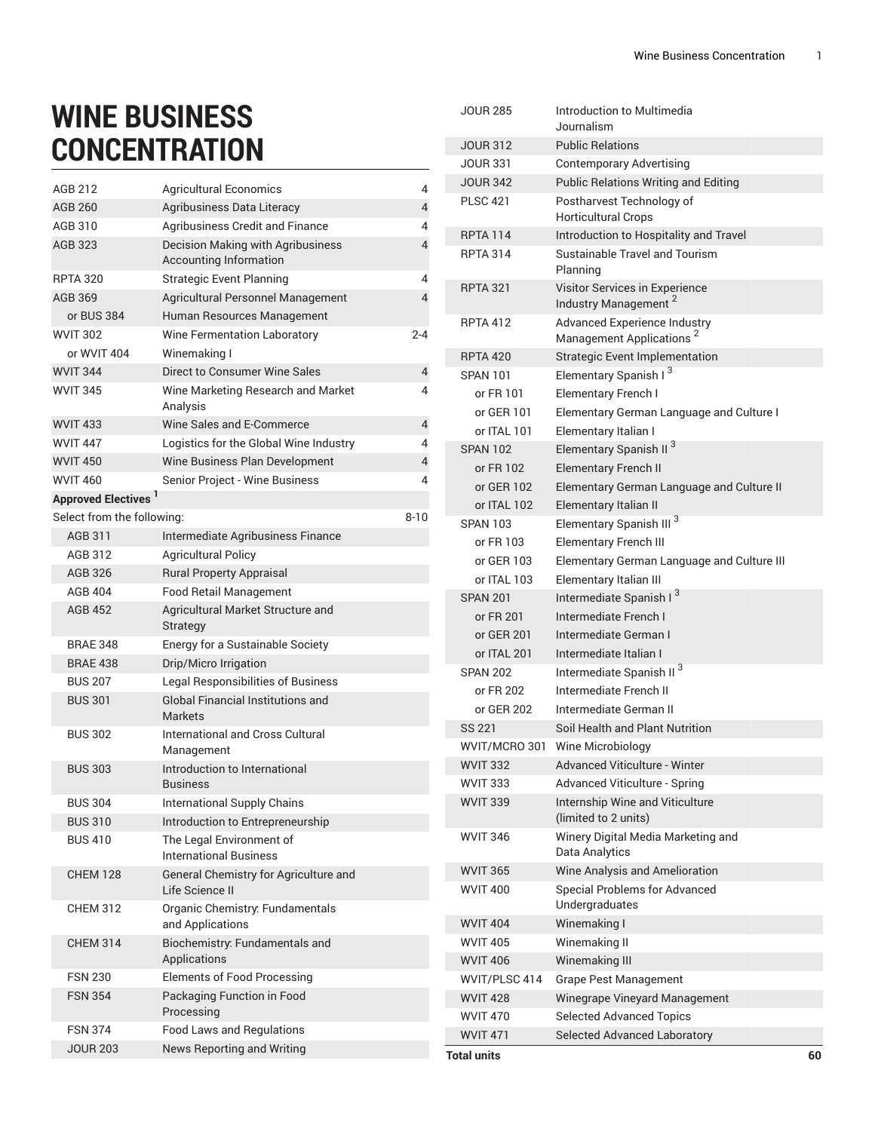## **WINE BUSINESS CONCENTRATION**

| AGB 212                    | <b>Agricultural Economics</b>                                      | 4        |
|----------------------------|--------------------------------------------------------------------|----------|
| <b>AGB 260</b>             | Agribusiness Data Literacy                                         | 4        |
| AGB 310                    | Agribusiness Credit and Finance                                    | 4        |
| AGB 323                    | <b>Decision Making with Agribusiness</b><br>Accounting Information | 4        |
| <b>RPTA 320</b>            | <b>Strategic Event Planning</b>                                    | 4        |
| AGB 369                    | Agricultural Personnel Management                                  | 4        |
| or BUS 384                 | Human Resources Management                                         |          |
| <b>WVIT 302</b>            | Wine Fermentation Laboratory                                       | 2-4      |
| or WVIT 404                | Winemaking I                                                       |          |
| <b>WVIT 344</b>            | Direct to Consumer Wine Sales                                      | 4        |
| <b>WVIT 345</b>            | Wine Marketing Research and Market<br>Analysis                     | 4        |
| <b>WVIT 433</b>            | Wine Sales and E-Commerce                                          | 4        |
| <b>WVIT 447</b>            | Logistics for the Global Wine Industry                             | 4        |
| <b>WVIT 450</b>            | Wine Business Plan Development                                     | 4        |
| <b>WVIT 460</b>            | Senior Project - Wine Business                                     | 4        |
| <b>Approved Electives</b>  |                                                                    |          |
| Select from the following: |                                                                    | $8 - 10$ |
| AGB 311                    | Intermediate Agribusiness Finance                                  |          |
| AGB 312                    | <b>Agricultural Policy</b>                                         |          |
| AGB 326                    | <b>Rural Property Appraisal</b>                                    |          |
| <b>AGB 404</b>             | <b>Food Retail Management</b>                                      |          |
| <b>AGB 452</b>             | Agricultural Market Structure and<br>Strategy                      |          |
| <b>BRAE 348</b>            | Energy for a Sustainable Society                                   |          |
| <b>BRAE 438</b>            | Drip/Micro Irrigation                                              |          |
| <b>BUS 207</b>             | Legal Responsibilities of Business                                 |          |
| <b>BUS 301</b>             | <b>Global Financial Institutions and</b><br><b>Markets</b>         |          |
| <b>BUS 302</b>             | International and Cross Cultural<br>Management                     |          |
| <b>BUS 303</b>             | Introduction to International<br><b>Business</b>                   |          |
| <b>BUS 304</b>             | <b>International Supply Chains</b>                                 |          |
| <b>BUS 310</b>             | Introduction to Entrepreneurship                                   |          |
| <b>BUS 410</b>             | The Legal Environment of<br><b>International Business</b>          |          |
| <b>CHEM 128</b>            | General Chemistry for Agriculture and<br>Life Science II           |          |
| <b>CHEM 312</b>            | Organic Chemistry: Fundamentals<br>and Applications                |          |
| <b>CHEM 314</b>            | Biochemistry: Fundamentals and<br>Applications                     |          |
| <b>FSN 230</b>             | <b>Elements of Food Processing</b>                                 |          |
| <b>FSN 354</b>             | Packaging Function in Food<br>Processing                           |          |
| <b>FSN 374</b>             | <b>Food Laws and Regulations</b>                                   |          |
| JOUR 203                   | News Reporting and Writing                                         |          |

| <b>JOUR 285</b> | Introduction to Multimedia<br>Journalism                                    |    |
|-----------------|-----------------------------------------------------------------------------|----|
| <b>JOUR 312</b> | <b>Public Relations</b>                                                     |    |
| <b>JOUR 331</b> | <b>Contemporary Advertising</b>                                             |    |
| <b>JOUR 342</b> | <b>Public Relations Writing and Editing</b>                                 |    |
| <b>PLSC 421</b> | Postharvest Technology of                                                   |    |
|                 | <b>Horticultural Crops</b>                                                  |    |
| <b>RPTA 114</b> | Introduction to Hospitality and Travel                                      |    |
| <b>RPTA 314</b> | Sustainable Travel and Tourism<br>Planning                                  |    |
| <b>RPTA 321</b> | Visitor Services in Experience<br>Industry Management <sup>2</sup>          |    |
| <b>RPTA 412</b> | <b>Advanced Experience Industry</b><br>Management Applications <sup>2</sup> |    |
| <b>RPTA 420</b> | Strategic Event Implementation                                              |    |
| <b>SPAN 101</b> | Elementary Spanish I <sup>3</sup>                                           |    |
| or FR 101       | Elementary French I                                                         |    |
| or GER 101      | Elementary German Language and Culture I                                    |    |
| or ITAL 101     | Elementary Italian I                                                        |    |
| <b>SPAN 102</b> | Elementary Spanish II <sup>3</sup>                                          |    |
| or FR 102       | <b>Elementary French II</b>                                                 |    |
| or GER 102      | Elementary German Language and Culture II                                   |    |
| or ITAL 102     | Elementary Italian II                                                       |    |
| <b>SPAN 103</b> | Elementary Spanish III <sup>3</sup>                                         |    |
| or FR 103       | <b>Elementary French III</b>                                                |    |
| or GER 103      | Elementary German Language and Culture III                                  |    |
| or ITAL 103     | Elementary Italian III                                                      |    |
| <b>SPAN 201</b> | Intermediate Spanish I <sup>3</sup>                                         |    |
| or FR 201       | Intermediate French I                                                       |    |
| or GER 201      | Intermediate German I                                                       |    |
| or ITAL 201     | Intermediate Italian I                                                      |    |
| <b>SPAN 202</b> | Intermediate Spanish II <sup>3</sup>                                        |    |
| or FR 202       | Intermediate French II                                                      |    |
| or GER 202      | Intermediate German II                                                      |    |
| <b>SS 221</b>   | Soil Health and Plant Nutrition                                             |    |
|                 | WVIT/MCRO 301 Wine Microbiology                                             |    |
| <b>WVIT 332</b> | <b>Advanced Viticulture - Winter</b>                                        |    |
| <b>WVIT 333</b> | Advanced Viticulture - Spring                                               |    |
| <b>WVIT 339</b> | Internship Wine and Viticulture<br>(limited to 2 units)                     |    |
| <b>WVIT 346</b> | Winery Digital Media Marketing and<br>Data Analytics                        |    |
| <b>WVIT 365</b> | Wine Analysis and Amelioration                                              |    |
| <b>WVIT 400</b> | Special Problems for Advanced<br>Undergraduates                             |    |
| <b>WVIT 404</b> | Winemaking I                                                                |    |
| <b>WVIT 405</b> | Winemaking II                                                               |    |
| <b>WVIT 406</b> | Winemaking III                                                              |    |
| WVIT/PLSC 414   | <b>Grape Pest Management</b>                                                |    |
| <b>WVIT 428</b> | Winegrape Vineyard Management                                               |    |
| <b>WVIT 470</b> | <b>Selected Advanced Topics</b>                                             |    |
| <b>WVIT 471</b> | Selected Advanced Laboratory                                                |    |
| Total units     |                                                                             | 60 |